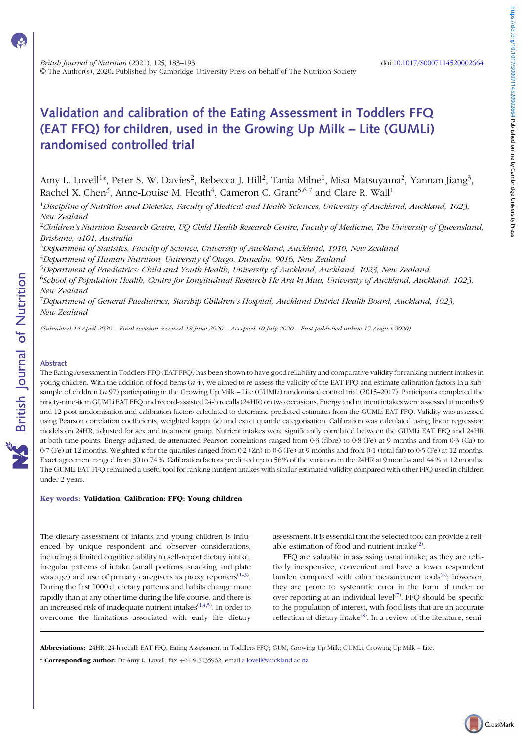# Validation and calibration of the Eating Assessment in Toddlers FFQ (EAT FFQ) for children, used in the Growing Up Milk – Lite (GUMLi) randomised controlled trial

Amy L. Lovell $^{1*}$ , Peter S. W. Davies $^2$ , Rebecca J. Hill $^2$ , Tania Milne $^1$ , Misa Matsuyama $^2$ , Yannan Jiang $^3$ , Rachel X. Chen<sup>3</sup>, Anne-Louise M. Heath<sup>4</sup>, Cameron C. Grant<sup>5,6,7</sup> and Clare R. Wall<sup>1</sup>

 $^1$ Discipline of Nutrition and Dietetics, Faculty of Medical and Health Sciences, University of Auckland, Auckland, 1023, New Zealand

 $^2$ Children's Nutrition Research Centre, UQ Child Health Research Centre, Faculty of Medicine, The University of Queensland, Brisbane, 4101, Australia

 $^3$ Department of Statistics, Faculty of Science, University of Auckland, Auckland, 1010, New Zealand  $^4$ Department of Human Nutrition, University of Otago, Dunedin, 9016, New Zealand

<sup>5</sup>Department of Paediatrics: Child and Youth Health, University of Auckland, Auckland, 1023, New Zealand

<sup>6</sup>School of Population Health, Centre for Longitudinal Research He Ara ki Mua, University of Auckland, Auckland, 1023, New Zealand

<sup>7</sup>Department of General Paediatrics, Starship Children's Hospital, Auckland District Health Board, Auckland, 1023, New Zealand

(Submitted 14 April 2020 – Final revision received 18 June 2020 – Accepted 10 July 2020 – First published online 17 August 2020)

## Abstract

The Eating Assessment in Toddlers FFQ (EAT FFQ) has been shown to have good reliability and comparative validity for ranking nutrient intakes in young children. With the addition of food items  $(n 4)$ , we aimed to re-assess the validity of the EAT FFQ and estimate calibration factors in a subsample of children (n 97) participating in the Growing Up Milk – Lite (GUMLi) randomised control trial (2015–2017). Participants completed the ninety-nine-item GUMLi EAT FFQ and record-assisted 24-h recalls (24HR) on two occasions. Energy and nutrient intakes were assessed at months 9 and 12 post-randomisation and calibration factors calculated to determine predicted estimates from the GUMLi EAT FFQ. Validity was assessed using Pearson correlation coefficients, weighted kappa (κ) and exact quartile categorisation. Calibration was calculated using linear regression models on 24HR, adjusted for sex and treatment group. Nutrient intakes were significantly correlated between the GUMLi EAT FFQ and 24HR at both time points. Energy-adjusted, de-attenuated Pearson correlations ranged from 0·3 (fibre) to 0·8 (Fe) at 9 months and from 0·3 (Ca) to 0·7 (Fe) at 12 months. Weighted κ for the quartiles ranged from 0·2 (Zn) to 0·6 (Fe) at 9 months and from 0·1 (total fat) to 0·5 (Fe) at 12 months. Exact agreement ranged from 30 to 74 %. Calibration factors predicted up to 56 % of the variation in the 24HR at 9 months and 44 % at 12 months. The GUMLi EAT FFQ remained a useful tool for ranking nutrient intakes with similar estimated validity compared with other FFQ used in children under 2 years.

#### Key words: Validation: Calibration: FFQ: Young children

The dietary assessment of infants and young children is influenced by unique respondent and observer considerations, including a limited cognitive ability to self-report dietary intake, irregular patterns of intake (small portions, snacking and plate wastage) and use of primary caregivers as proxy reporters $(1-3)$  $(1-3)$  $(1-3)$ . During the first 1000 d, dietary patterns and habits change more rapidly than at any other time during the life course, and there is an increased risk of inadequate nutrient intakes $(1,4,5)$  $(1,4,5)$  $(1,4,5)$ . In order to overcome the limitations associated with early life dietary

assessment, it is essential that the selected tool can provide a reliable estimation of food and nutrient intake $^{(2)}$  $^{(2)}$  $^{(2)}$ .

FFQ are valuable in assessing usual intake, as they are relatively inexpensive, convenient and have a lower respondent burden compared with other measurement tools<sup>([6\)](#page-8-0)</sup>; however, they are prone to systematic error in the form of under or over-reporting at an individual level<sup>[\(7](#page-8-0))</sup>. FFQ should be specific to the population of interest, with food lists that are an accurate reflection of dietary intake<sup>([8\)](#page-8-0)</sup>. In a review of the literature, semi-

Abbreviations: 24HR, 24-h recall; EAT FFQ, Eating Assessment in Toddlers FFQ; GUM, Growing Up Milk; GUMLi, Growing Up Milk - Lite.

\* Corresponding author: Dr Amy L. Lovell, fax +64 9 3035962, email [a.lovell@auckland.ac.nz](mailto:a.lovell@auckland.ac.nz)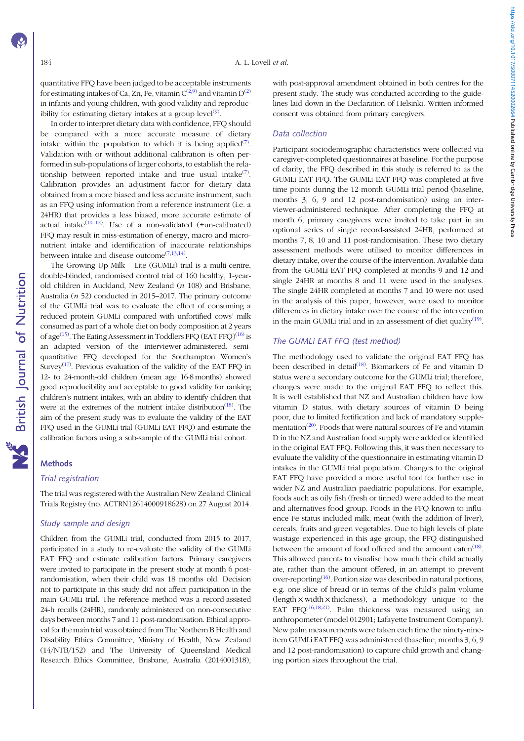https://doi.org/10.1017/50007114520002664 Published online by Cambridge University Press https://doi.org/10.1017/S0007114520002664 Published online by Cambridge University Press

quantitative FFQ have been judged to be acceptable instruments for estimating intakes of Ca, Zn, Fe, vitamin  $C^{(2,9)}$  $C^{(2,9)}$  $C^{(2,9)}$  $C^{(2,9)}$  $C^{(2,9)}$  and vitamin  $D^{(2)}$ in infants and young children, with good validity and reproduc-ibility for estimating dietary intakes at a group level<sup>[\(9](#page-8-0))</sup>.

In order to interpret dietary data with confidence, FFQ should be compared with a more accurate measure of dietary intake within the population to which it is being applied<sup>([7\)](#page-8-0)</sup>. Validation with or without additional calibration is often performed in sub-populations of larger cohorts, to establish the relationship between reported intake and true usual intake $(7)$  $(7)$ . Calibration provides an adjustment factor for dietary data obtained from a more biased and less accurate instrument, such as an FFQ using information from a reference instrument (i.e. a 24HR) that provides a less biased, more accurate estimate of actual intake $(10-12)$  $(10-12)$  $(10-12)$  $(10-12)$ . Use of a non-validated ( $\pm$ un-calibrated) FFQ may result in miss-estimation of energy, macro and micronutrient intake and identification of inaccurate relationships between intake and disease outcome  $(7,13,14)$  $(7,13,14)$  $(7,13,14)$  $(7,13,14)$ .

The Growing Up Milk – Lite (GUMLi) trial is a multi-centre, double-blinded, randomised control trial of 160 healthy, 1-yearold children in Auckland, New Zealand (n 108) and Brisbane, Australia (n 52) conducted in 2015–2017. The primary outcome of the GUMLi trial was to evaluate the effect of consuming a reduced protein GUMLi compared with unfortified cows' milk consumed as part of a whole diet on body composition at 2 years of age<sup>[\(15](#page-8-0))</sup>. The Eating Assessment in Toddlers FFQ (EAT FFQ)<sup>([16\)](#page-8-0)</sup> is an adapted version of the interviewer-administered, semiquantitative FFQ developed for the Southampton Women's Survey<sup>([17\)](#page-8-0)</sup>. Previous evaluation of the validity of the EAT FFQ in 12- to 24-month-old children (mean age 16·8 months) showed good reproducibility and acceptable to good validity for ranking children's nutrient intakes, with an ability to identify children that were at the extremes of the nutrient intake distribution<sup>[\(18\)](#page-8-0)</sup>. The aim of the present study was to evaluate the validity of the EAT FFQ used in the GUMLi trial (GUMLi EAT FFQ) and estimate the calibration factors using a sub-sample of the GUMLi trial cohort.

#### **Methods**

#### Trial registration

The trial was registered with the Australian New Zealand Clinical Trials Registry (no. ACTRN12614000918628) on 27 August 2014.

# Study sample and design

Children from the GUMLi trial, conducted from 2015 to 2017, participated in a study to re-evaluate the validity of the GUMLi EAT FFQ and estimate calibration factors. Primary caregivers were invited to participate in the present study at month 6 postrandomisation, when their child was 18 months old. Decision not to participate in this study did not affect participation in the main GUMLi trial. The reference method was a record-assisted 24-h recalls (24HR), randomly administered on non-consecutive days between months 7 and 11 post-randomisation. Ethical approval for the main trial was obtained from The Northern B Health and Disability Ethics Committee, Ministry of Health, New Zealand (14/NTB/152) and The University of Queensland Medical Research Ethics Committee, Brisbane, Australia (2014001318), with post-approval amendment obtained in both centres for the present study. The study was conducted according to the guidelines laid down in the Declaration of Helsinki. Written informed consent was obtained from primary caregivers.

### Data collection

Participant sociodemographic characteristics were collected via caregiver-completed questionnaires at baseline. For the purpose of clarity, the FFQ described in this study is referred to as the GUMLi EAT FFQ. The GUMLi EAT FFQ was completed at five time points during the 12-month GUMLi trial period (baseline, months 3, 6, 9 and 12 post-randomisation) using an interviewer-administered technique. After completing the FFQ at month 6, primary caregivers were invited to take part in an optional series of single record-assisted 24HR, performed at months 7, 8, 10 and 11 post-randomisation. These two dietary assessment methods were utilised to monitor differences in dietary intake, over the course of the intervention. Available data from the GUMLi EAT FFQ completed at months 9 and 12 and single 24HR at months 8 and 11 were used in the analyses. The single 24HR completed at months 7 and 10 were not used in the analysis of this paper, however, were used to monitor differences in dietary intake over the course of the intervention in the main GUMLi trial and in an assessment of diet quality<sup>([19](#page-8-0))</sup>.

# The GUMLi EAT FFQ (test method)

The methodology used to validate the original EAT FFQ has been described in detail<sup>[\(18\)](#page-8-0)</sup>. Biomarkers of Fe and vitamin D status were a secondary outcome for the GUMLi trial; therefore, changes were made to the original EAT FFQ to reflect this. It is well established that NZ and Australian children have low vitamin D status, with dietary sources of vitamin D being poor, due to limited fortification and lack of mandatory supple-mentation<sup>[\(20\)](#page-9-0)</sup>. Foods that were natural sources of Fe and vitamin D in the NZ and Australian food supply were added or identified in the original EAT FFQ. Following this, it was then necessary to evaluate the validity of the questionnaire in estimating vitamin D intakes in the GUMLi trial population. Changes to the original EAT FFQ have provided a more useful tool for further use in wider NZ and Australian paediatric populations. For example, foods such as oily fish (fresh or tinned) were added to the meat and alternatives food group. Foods in the FFQ known to influence Fe status included milk, meat (with the addition of liver), cereals, fruits and green vegetables. Due to high levels of plate wastage experienced in this age group, the FFQ distinguished between the amount of food offered and the amount eaten<sup>([18](#page-8-0))</sup>. This allowed parents to visualise how much their child actually ate, rather than the amount offered, in an attempt to prevent over-reporting<sup>([16](#page-8-0))</sup>. Portion size was described in natural portions, e.g. one slice of bread or in terms of the child's palm volume  $\langle \text{length} \times \text{width} \times \text{thickness} \rangle$ , a methodology unique to the EAT FFQ $^{(16,18,21)}$  $^{(16,18,21)}$  $^{(16,18,21)}$  $^{(16,18,21)}$ . Palm thickness was measured using an anthropometer (model 012901; Lafayette Instrument Company). New palm measurements were taken each time the ninety-nineitem GUMLi EAT FFQ was administered (baseline, months 3, 6, 9 and 12 post-randomisation) to capture child growth and changing portion sizes throughout the trial.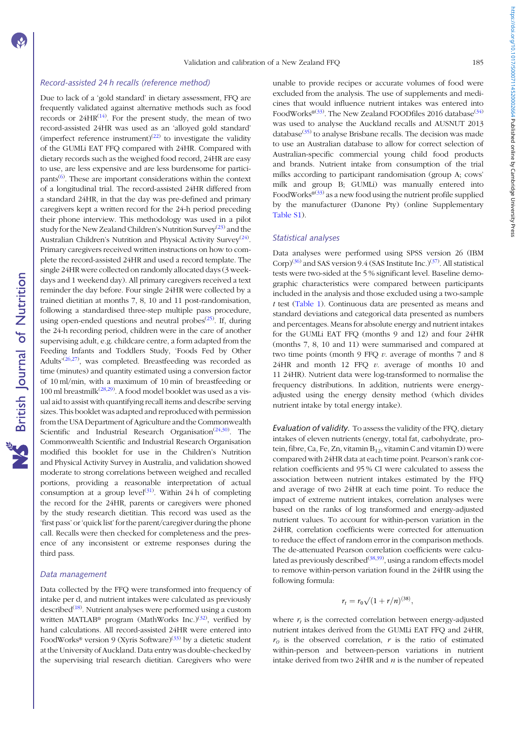**NS** British Journal of Nutrition

# Record-assisted 24 h recalls (reference method)

Due to lack of a 'gold standard' in dietary assessment, FFQ are frequently validated against alternative methods such as food records or  $24HR^{(14)}$  $24HR^{(14)}$  $24HR^{(14)}$ . For the present study, the mean of two record-assisted 24HR was used as an 'alloyed gold standard' (imperfect reference instrument)<sup>[\(22](#page-9-0))</sup> to investigate the validity of the GUMLi EAT FFQ compared with 24HR. Compared with dietary records such as the weighed food record, 24HR are easy to use, are less expensive and are less burdensome for partici-pants<sup>[\(6\)](#page-8-0)</sup>. These are important considerations within the context of a longitudinal trial. The record-assisted 24HR differed from a standard 24HR, in that the day was pre-defined and primary caregivers kept a written record for the 24-h period preceding their phone interview. This methodology was used in a pilot study for the New Zealand Children's Nutrition Survey<sup>[\(23\)](#page-9-0)</sup> and the Australian Children's Nutrition and Physical Activity Survey<sup>([24\)](#page-9-0)</sup>. Primary caregivers received written instructions on how to complete the record-assisted 24HR and used a record template. The single 24HR were collected on randomly allocated days (3 weekdays and 1 weekend day). All primary caregivers received a text reminder the day before. Four single 24HR were collected by a trained dietitian at months 7, 8, 10 and 11 post-randomisation, following a standardised three-step multiple pass procedure, using open-ended questions and neutral probes<sup>[\(25](#page-9-0))</sup>. If, during the 24-h recording period, children were in the care of another supervising adult, e.g. childcare centre, a form adapted from the Feeding Infants and Toddlers Study, 'Foods Fed by Other Adults'<sup>([26](#page-9-0),[27\)](#page-9-0)</sup>, was completed. Breastfeeding was recorded as time (minutes) and quantity estimated using a conversion factor of 10 ml/min, with a maximum of 10 min of breastfeeding or 100 ml breastmilk<sup>[\(28](#page-9-0),[29](#page-9-0))</sup>. A food model booklet was used as a visual aid to assist with quantifying recall items and describe serving sizes. This booklet was adapted and reproduced with permission from the USA Department of Agriculture and the Commonwealth Scientific and Industrial Research Organisation<sup>[\(24,30\)](#page-9-0)</sup>. The Commonwealth Scientific and Industrial Research Organisation modified this booklet for use in the Children's Nutrition and Physical Activity Survey in Australia, and validation showed moderate to strong correlations between weighed and recalled portions, providing a reasonable interpretation of actual consumption at a group level<sup>[\(31\)](#page-9-0)</sup>. Within 24h of completing the record for the 24HR, parents or caregivers were phoned by the study research dietitian. This record was used as the 'first pass' or 'quick list' for the parent/caregiver during the phone call. Recalls were then checked for completeness and the presence of any inconsistent or extreme responses during the third pass.

#### Data management

Data collected by the FFQ were transformed into frequency of intake per d, and nutrient intakes were calculated as previously described<sup>([18](#page-8-0))</sup>. Nutrient analyses were performed using a custom written MATLAB<sup>®</sup> program (MathWorks Inc.)<sup>[\(32](#page-9-0))</sup>, verified by hand calculations. All record-assisted 24HR were entered into FoodWorks<sup>®</sup> version 9 (Xyris Software)<sup>[\(33](#page-9-0))</sup> by a dietetic student at the University of Auckland. Data entry was double-checked by the supervising trial research dietitian. Caregivers who were

unable to provide recipes or accurate volumes of food were excluded from the analysis. The use of supplements and medicines that would influence nutrient intakes was entered into FoodWorks<sup>®[\(33](#page-9-0))</sup>. The New Zealand FOODfiles 2016 database<sup>[\(34](#page-9-0))</sup> was used to analyse the Auckland recalls and AUSNUT 2013 database $(35)$  $(35)$  to analyse Brisbane recalls. The decision was made to use an Australian database to allow for correct selection of Australian-specific commercial young child food products and brands. Nutrient intake from consumption of the trial milks according to participant randomisation (group A; cows' milk and group B; GUMLi) was manually entered into FoodWorks<sup> $(33)$  $(33)$ </sup> as a new food using the nutrient profile supplied by the manufacturer (Danone Pty) (online Supplementary [Table S1\)](https://doi.org/10.1017/S0007114520002664).

### Statistical analyses

Data analyses were performed using SPSS version 26 (IBM Corp)<sup>[\(36](#page-9-0))</sup> and SAS version 9.4 (SAS Institute Inc.)<sup>([37](#page-9-0))</sup>. All statistical tests were two-sided at the 5 % significant level. Baseline demographic characteristics were compared between participants included in the analysis and those excluded using a two-sample t test ([Table 1\)](#page-3-0). Continuous data are presented as means and standard deviations and categorical data presented as numbers and percentages. Means for absolute energy and nutrient intakes for the GUMLi EAT FFQ (months 9 and 12) and four 24HR (months 7, 8, 10 and 11) were summarised and compared at two time points (month  $9$  FFQ  $v$ . average of months 7 and 8 24HR and month 12 FFQ  $v$ . average of months 10 and 11 24HR). Nutrient data were log-transformed to normalise the frequency distributions. In addition, nutrients were energyadjusted using the energy density method (which divides nutrient intake by total energy intake).

Evaluation of validity. To assess the validity of the FFQ, dietary intakes of eleven nutrients (energy, total fat, carbohydrate, protein, fibre, Ca, Fe, Zn, vitamin  $B_{12}$ , vitamin C and vitamin D) were compared with 24HR data at each time point. Pearson's rank correlation coefficients and 95 % CI were calculated to assess the association between nutrient intakes estimated by the FFQ and average of two 24HR at each time point. To reduce the impact of extreme nutrient intakes, correlation analyses were based on the ranks of log transformed and energy-adjusted nutrient values. To account for within-person variation in the 24HR, correlation coefficients were corrected for attenuation to reduce the effect of random error in the comparison methods. The de-attenuated Pearson correlation coefficients were calcu-lated as previously described<sup>[\(38](#page-9-0),[39](#page-9-0))</sup>, using a random effects model to remove within-person variation found in the 24HR using the following formula:

$$
r_t = r_0 \sqrt{(1 + r/n)^{(38)}},
$$

where  $r_t$  is the corrected correlation between energy-adjusted nutrient intakes derived from the GUMLi EAT FFQ and 24HR,  $r_0$  is the observed correlation,  $r$  is the ratio of estimated within-person and between-person variations in nutrient intake derived from two  $24HR$  and  $n$  is the number of repeated https://doi.org/10.1017/50007114520002664 Published online by Cambridge University Press https://doi.org/10.1017/S0007114520002664 Published online by Cambridge University Press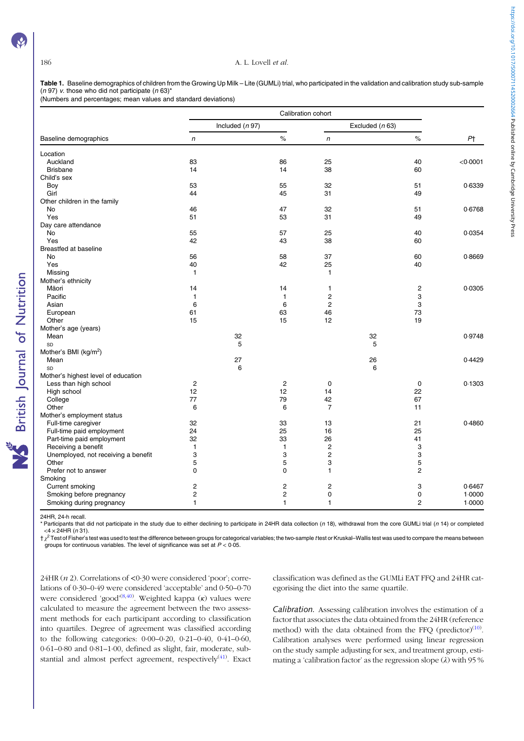**S** British Journal of Nutrition

#### <span id="page-3-0"></span>186 A. L. Lovell et al.

Table 1. Baseline demographics of children from the Growing Up Milk - Lite (GUMLi) trial, who participated in the validation and calibration study sub-sample (n 97) v. those who did not participate (n 63)\*

(Numbers and percentages; mean values and standard deviations)

|                                     | Calibration cohort |                   |                |                |      |                 |                |  |
|-------------------------------------|--------------------|-------------------|----------------|----------------|------|-----------------|----------------|--|
|                                     |                    | Included $(n 97)$ |                |                |      | Excluded (n 63) |                |  |
| Baseline demographics               | $\mathsf{n}$       |                   | $\%$           | $\mathsf{n}$   | $\%$ |                 | P <sub>T</sub> |  |
| Location                            |                    |                   |                |                |      |                 |                |  |
| Auckland                            | 83                 |                   | 86             | 25             |      | 40              | < 0.0001       |  |
| <b>Brisbane</b>                     | 14                 |                   | 14             | 38             |      | 60              |                |  |
| Child's sex                         |                    |                   |                |                |      |                 |                |  |
| Boy                                 | 53                 |                   | 55             | 32             |      | 51              | 0.6339         |  |
| Girl                                | 44                 |                   | 45             | 31             |      | 49              |                |  |
| Other children in the family        |                    |                   |                |                |      |                 |                |  |
| No                                  | 46                 |                   | 47             | 32             |      | 51              | 0.6768         |  |
| Yes                                 | 51                 |                   | 53             | 31             |      | 49              |                |  |
| Day care attendance                 |                    |                   |                |                |      |                 |                |  |
| No                                  | 55                 |                   | 57             | 25             |      | 40              | 0.0354         |  |
| Yes                                 | 42                 |                   | 43             | 38             |      | 60              |                |  |
| <b>Breastfed at baseline</b>        |                    |                   |                |                |      |                 |                |  |
| No                                  | 56                 |                   | 58             | 37             |      | 60              | 0.8669         |  |
| Yes                                 | 40                 |                   | 42             | 25             |      | 40              |                |  |
| Missing                             | $\mathbf{1}$       |                   |                | $\mathbf{1}$   |      |                 |                |  |
| Mother's ethnicity                  |                    |                   |                |                |      |                 |                |  |
| Māori                               | 14                 |                   | 14             | 1              |      | 2               | 0.0305         |  |
| Pacific                             | $\mathbf{1}$       |                   | $\mathbf{1}$   | 2              |      | 3               |                |  |
| Asian                               | 6                  |                   | 6              | 2              |      | 3               |                |  |
| European                            | 61                 |                   | 63             | 46             |      | 73              |                |  |
| Other                               | 15                 |                   | 15             | 12             |      | 19              |                |  |
| Mother's age (years)                |                    |                   |                |                |      |                 |                |  |
| Mean                                |                    | 32                |                |                | 32   |                 | 0.9748         |  |
| SD                                  |                    | 5                 |                |                | 5    |                 |                |  |
| Mother's BMI (kg/m <sup>2</sup> )   |                    |                   |                |                |      |                 |                |  |
| Mean                                |                    | 27                |                |                | 26   |                 | 0.4429         |  |
| SD                                  |                    | 6                 |                |                | 6    |                 |                |  |
| Mother's highest level of education |                    |                   |                |                |      |                 |                |  |
| Less than high school               | $\overline{2}$     |                   | $\overline{2}$ | $\mathbf 0$    |      | $\mathbf 0$     | 0.1303         |  |
| High school                         | 12                 |                   | 12             | 14             |      | 22              |                |  |
| College                             | 77                 |                   | 79             | 42             |      | 67              |                |  |
| Other                               | 6                  |                   | 6              | $\overline{7}$ |      | 11              |                |  |
| Mother's employment status          |                    |                   |                |                |      |                 |                |  |
| Full-time caregiver                 | 32                 |                   | 33             | 13             |      | 21              | 0.4860         |  |
| Full-time paid employment           | 24                 |                   | 25             | 16             |      | 25              |                |  |
| Part-time paid employment           | 32                 |                   | 33             | 26             |      | 41              |                |  |
| Receiving a benefit                 | 1                  |                   | 1              | 2              |      | 3               |                |  |
| Unemployed, not receiving a benefit | 3                  |                   | 3              | 2              |      | 3               |                |  |
| Other                               | 5                  |                   | 5              | 3              |      | 5               |                |  |
| Prefer not to answer                | $\Omega$           |                   | 0              | 1              |      | $\overline{c}$  |                |  |
| Smoking                             |                    |                   |                |                |      |                 |                |  |
| Current smoking                     | 2                  |                   | $\overline{c}$ | 2              |      | 3               | 0.6467         |  |
| Smoking before pregnancy            | $\overline{c}$     |                   | $\overline{c}$ | 0              |      | 0               | 1.0000         |  |
| Smoking during pregnancy            | 1                  |                   | 1              | 1              |      | $\overline{2}$  | 1.0000         |  |

24HR, 24-h recall.

Participants that did not participate in the study due to either declining to participate in 24HR data collection (n 18), withdrawal from the core GUMLi trial (n 14) or completed  $<$  4  $\times$  24HR (n 31).

 $\frac{1}{2}$  Test of Fisher's test was used to test the difference between groups for categorical variables; the two-sample t test or Kruskal–Wallis test was used to compare the means between groups for continuous variables. The level of significance was set at  $P < 0.05$ .

 $24HR (n 2)$ . Correlations of <0.30 were considered 'poor'; correlations of 0·30–0·49 were considered 'acceptable' and 0·50–0·70 were considered 'good'<sup>[\(8](#page-8-0),[40](#page-9-0))</sup>. Weighted kappa (κ) values were calculated to measure the agreement between the two assessment methods for each participant according to classification into quartiles. Degree of agreement was classified according to the following categories: 0·00–0·20, 0·21–0·40, 0·41–0·60, 0·61–0·80 and 0·81–1·00, defined as slight, fair, moderate, sub-stantial and almost perfect agreement, respectively<sup>([41\)](#page-9-0)</sup>. Exact

classification was defined as the GUMLi EAT FFQ and 24HR categorising the diet into the same quartile.

Calibration. Assessing calibration involves the estimation of a factor that associates the data obtained from the 24HR (reference method) with the data obtained from the FFQ (predictor) $(10)$  $(10)$  $(10)$ . Calibration analyses were performed using linear regression on the study sample adjusting for sex, and treatment group, estimating a 'calibration factor' as the regression slope  $(\lambda)$  with 95 %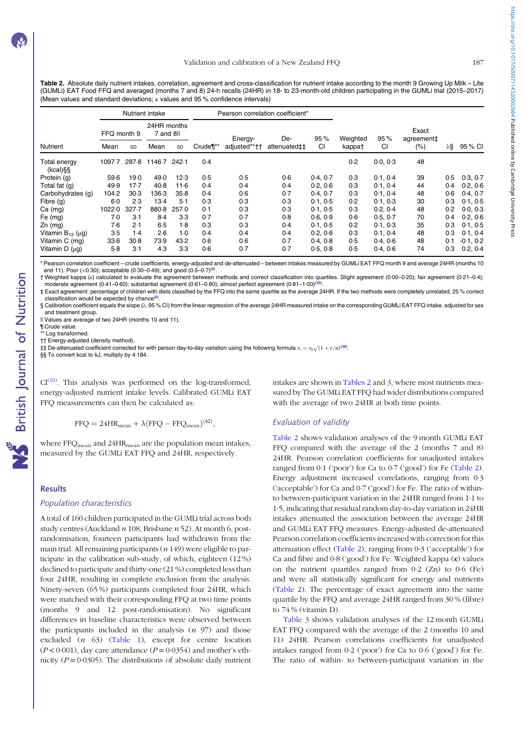<span id="page-4-0"></span>Table 2. Absolute daily nutrient intakes, correlation, agreement and cross-classification for nutrient intake according to the month 9 Growing Up Milk - Lite (GUMLi) EAT Food FFQ and averaged (months 7 and 8) 24-h recalls (24HR) in 18- to 23-month-old children participating in the GUMLi trial (2015–2017) (Mean values and standard deviations;  $\kappa$  values and 95 % confidence intervals)

|                             | Nutrient intake |        |                          |       |          |              | Pearson correlation coefficient* |           |          |          |                     |     |             |
|-----------------------------|-----------------|--------|--------------------------|-------|----------|--------------|----------------------------------|-----------|----------|----------|---------------------|-----|-------------|
|                             | FFQ month 9     |        | 24HR months<br>7 and 8ll |       |          | Energy-      | De-                              | 95%       | Weighted | 95%      | Exact<br>agreement‡ |     |             |
| <b>Nutrient</b>             | Mean            | SD     | Mean                     | SD    | Crude¶** | adjusted**†† | attenuated‡‡                     | <b>CI</b> | kappa†   | СI       | $(\% )$             | λ§  | 95 % CI     |
| Total energy<br>$(kcal)$ §§ | 1097.7          | 287.8  | 1146.7                   | 242.1 | 0.4      |              |                                  |           | 0.2      | 0.0, 0.3 | 48                  |     |             |
| Protein (g)                 | 59.6            | 19.0   | 49.0                     | 12.3  | 0.5      | 0.5          | 0.6                              | 0.4.07    | 0.3      | 0.1, 0.4 | 39                  | 0.5 | 0.3, 0.7    |
| Total fat (g)               | 49.9            | $17-7$ | 40.8                     | 11.6  | 0.4      | 0.4          | 0.4                              | 0.2.06    | 0.3      | 0.1, 0.4 | 44                  | 0.4 | 0.2, 0.6    |
| Carbohydrates (g)           | 104.2           | 30.3   | 136.3                    | 35.8  | 0.4      | 0.6          | 0.7                              | 0.4, 0.7  | 0.3      | 0.1, 0.4 | 48                  | 0.6 | 0.4, 0.7    |
| Fibre $(q)$                 | $6-0$           | 2.3    | $13-4$                   | 5.1   | 0.3      | 0.3          | 0.3                              | 0.1.0.5   | 0.2      | 0.1, 0.3 | 30                  | 0.3 | 0.1, 0.5    |
| Ca (mg)                     | 1022.0          | 327.7  | 880-8                    | 257.0 | 0.1      | 0.3          | 0.3                              | 0.1.05    | 0.3      | 0.2, 0.4 | 48                  | 0.2 | 0.0, 0.3    |
| Fe (mg)                     | 7.0             | 3.1    | 8.4                      | 3.3   | 0.7      | 0.7          | 0.8                              | 0.6, 0.9  | 0.6      | 0.5, 0.7 | 70                  | 0.4 | 0.2, 0.6    |
| $Zn$ (mg)                   | 7.6             | 2.1    | 6.5                      | $1-8$ | 0.3      | 0.3          | 0.4                              | 0.1.05    | 0.2      | 0.1, 0.3 | 35                  | 0.3 | 0.1, 0.5    |
| Vitamin $B_{12}$ ( $\mu$ g) | $3-5$           | 1.4    | 2.6                      | $1-0$ | 0.4      | 0.4          | 0.4                              | 0.2, 0.6  | 0.3      | 0.1, 0.4 | 48                  | 0.3 | 0.1, 0.4    |
| Vitamin C (mg)              | 33.6            | 30.8   | 73.9                     | 43.2  | 0.6      | 0.6          | 0.7                              | 0.4.0.8   | 0.5      | 0.4, 0.6 | 48                  | 0.1 | $-0.1, 0.2$ |
| Vitamin $D(\mu q)$          | $5-8$           | $3-1$  | 4.3                      | $3-3$ | 0.6      | 0.7          | 0.7                              | 0.5, 0.8  | 0.5      | 0.4, 0.6 | 74                  | 0.3 | 0.2, 0.4    |

\* Pearson correlation coefficient – crude coefficients, energy-adjusted and de-attenuated – between intakes measured by GUMLi EAT FFQ month 9 and average 24HR (months 10 and 11). Poor (<0.30); acceptable (0.30–0.49); and good (0.5–0.7)<sup>([8](#page-8-0))</sup>.

† Weighted kappa (κ) calculated to evaluate the agreement between methods and correct classification into quartiles. Slight agreement (0·00–0·20); fair agreement (0·21–0·4); moderate agreement (0·41–0·60); substantial agreement (0·61–0·80); almost perfect agreement (0·81–1·00)<sup>(3</sup> .

‡ Exact agreement: percentage of children with diets classified by the FFQ into the same quartile as the average 24HR. If the two methods were completely unrelated, 25 % correct classification would be expected by chance<sup>[\(8\)](#page-8-0)</sup> . § Calibration coefficient equals the slope (λ, 95 % CI) from the linear regression of the average 24HR measured intake on the corresponding GUMLi EAT FFQ intake, adjusted for sex

and treatment group.

Il Values are average of two 24HR (months 10 and 11).

¶ Crude value.

**NS** British Journal of Nutrition

\*\* Log transformed.

†† Energy-adjusted (density method).

‡‡ De-attenuated coefficient corrected for with person day-to-day variation using the following formula  $r_t = r_0 \sqrt{(1 + r/n)^{(38)}}$  $r_t = r_0 \sqrt{(1 + r/n)^{(38)}}$  $r_t = r_0 \sqrt{(1 + r/n)^{(38)}}$ .

§§ To convert kcal to kJ, multiply by 4.184.

 $CI<sup>(10)</sup>$  $CI<sup>(10)</sup>$  $CI<sup>(10)</sup>$ . This analysis was performed on the log-transformed, energy-adjusted nutrient intake levels. Calibrated GUMLi EAT FFQ measurements can then be calculated as:

$$
FFQ = 24HR_{mean} + \lambda (FFQ - FFQ_{mean})^{(42)},
$$

where FFQ<sub>mean</sub> and 24HR<sub>mean</sub> are the population mean intakes, measured by the GUMLi EAT FFQ and 24HR, respectively.

#### **Results**

#### Population characteristics

A total of 160 children participated in the GUMLi trial across both study centres (Auckland  $n$  108, Brisbane  $n$  52). At month 6, postrandomisation, fourteen participants had withdrawn from the main trial. All remaining participants  $(n 149)$  were eligible to participate in the calibration sub-study, of which, eighteen (12 %) declined to participate and thirty-one (21 %) completed less than four 24HR, resulting in complete exclusion from the analysis. Ninety-seven (65 %) participants completed four 24HR, which were matched with their corresponding FFQ at two time points (months 9 and 12 post-randomisation). No significant differences in baseline characteristics were observed between the participants included in the analysis  $(n, 97)$  and those excluded (n 63) [\(Table 1](#page-3-0)), except for centre location  $(P < 0.001)$ , day care attendance  $(P = 0.0354)$  and mother's ethnicity ( $P = 0.0305$ ). The distributions of absolute daily nutrient

intakes are shown in Tables 2 and [3](#page-5-0), where most nutrients measured by The GUMLi EAT FFQ had wider distributions compared with the average of two 24HR at both time points.

### Evaluation of validity

Table 2 shows validation analyses of the 9 month GUMLi EAT FFQ compared with the average of the 2 (months 7 and 8) 24HR. Pearson correlation coefficients for unadjusted intakes ranged from 0·1 ('poor') for Ca to 0·7 ('good') for Fe (Table 2). Energy adjustment increased correlations, ranging from 0·3 ('acceptable') for Ca and 0·7 ('good') for Fe. The ratio of withinto between-participant variation in the 24HR ranged from 1·1 to 1·5, indicating that residual random day-to-day variation in 24HR intakes attenuated the association between the average 24HR and GUMLi EAT FFQ measures. Energy-adjusted de-attenuated Pearson correlation coefficients increased with correction for this attenuation effect (Table 2), ranging from 0·3 ('acceptable') for Ca and fibre and 0·8 ('good') for Fe. Weighted kappa (κ) values on the nutrient quartiles ranged from 0·2 (Zn) to 0·6 (Fe) and were all statistically significant for energy and nutrients (Table 2). The percentage of exact agreement into the same quartile by the FFQ and average 24HR ranged from 30 % (fibre) to 74 % (vitamin D).

[Table 3](#page-5-0) shows validation analyses of the 12 month GUMLi EAT FFQ compared with the average of the 2 (months 10 and 11) 24HR. Pearson correlations coefficients for unadjusted intakes ranged from 0·2 ('poor') for Ca to 0·6 ('good') for Fe. The ratio of within- to between-participant variation in the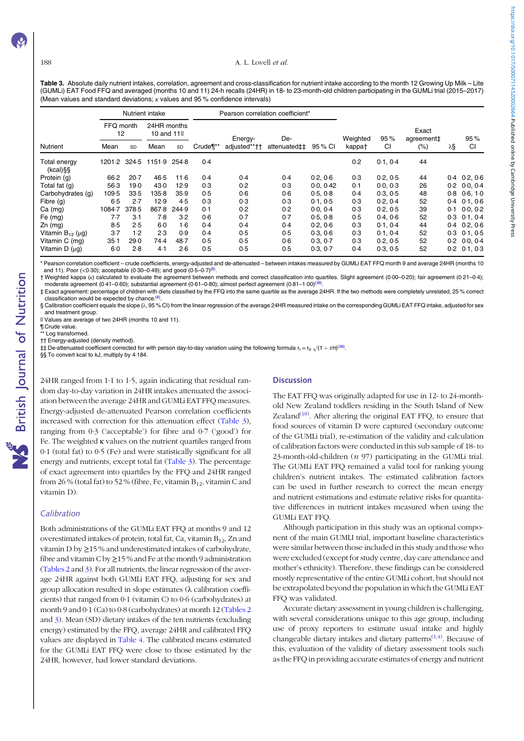#### <span id="page-5-0"></span>188 **A. L. Lovell et al.**

https://doi.org/10.1017/S0007114520002664 Published online by Cambridge University Press

Table 3. Absolute daily nutrient intakes, correlation, agreement and cross-classification for nutrient intake according to the month 12 Growing Up Milk - Lite (GUMLi) EAT Food FFQ and averaged (months 10 and 11) 24-h recalls (24HR) in 18- to 23-month-old children participating in the GUMLi trial (2015–2017) (Mean values and standard deviations;  $\kappa$  values and 95 % confidence intervals)

|                             | Nutrient intake |        |                            |           |          |              | Pearson correlation coefficient* |           |          |          |                     |     |                     |
|-----------------------------|-----------------|--------|----------------------------|-----------|----------|--------------|----------------------------------|-----------|----------|----------|---------------------|-----|---------------------|
|                             | FFQ month<br>12 |        | 24HR months<br>10 and 11ll |           |          | Energy-      | De-                              |           | Weighted | 95%      | Exact<br>agreement‡ |     | 95%                 |
| Nutrient                    | Mean            | SD     | Mean                       | <b>SD</b> | Crude¶** | adjusted**†† | attenuated‡‡                     | 95 % CI   | kappa†   | CI       | $(\% )$             | λ§  | CI                  |
| Total energy<br>$(kcal)$ §§ | 1201-2 324-5    |        | 1151.9                     | 254.8     | 0.4      |              |                                  |           | 0.2      | 0.1, 0.4 | 44                  |     |                     |
| Protein (g)                 | 66.2            | $20-7$ | 46.5                       | 11.6      | 0.4      | 0.4          | 0.4                              | 0.2.06    | 0.3      | 0.2.0.5  | 44                  |     | $0.4$ $0.2, 0.6$    |
| Total fat (g)               | 56.3            | 19.0   | 43.0                       | 12.9      | 0.3      | 0.2          | 0.3                              | 0.0, 0.42 | 0.1      | 0.0, 0.3 | 26                  | 0.2 | 0.0, 0.4            |
| Carbohydrates (g)           | 109.5           | 33.5   | 135.8                      | 35.9      | 0.5      | 0.6          | 0.6                              | 0.5.0.8   | 0.4      | 0.3, 0.5 | 48                  | 0.8 | 0.6, 1.0            |
| Fibre $(q)$                 | 6.5             | 2.7    | 12.9                       | 4.5       | 0.3      | 0.3          | 0.3                              | 0.1, 0.5  | 0.3      | 0.2.04   | 52                  | 0.4 | 0.1, 0.6            |
| $Ca$ (mg)                   | 1084.7          | 378.5  | 867.8                      | 244.9     | 0.1      | 0.2          | 0.2                              | 0.0.04    | 0.3      | 0.2.0.5  | 39                  | 0.1 | 0.0.0.2             |
| Fe $(mg)$                   | 7.7             | 3.1    | 7.8                        | 3.2       | 0.6      | 0.7          | 0.7                              | 0.5.0.8   | 0.5      | 0.4, 0.6 | 52                  | 0.3 | 0.1, 0.4            |
| $Zn$ (mg)                   | 8.5             | 2.5    | $6-0$                      | 1·6       | 0.4      | 0.4          | 0.4                              | 0.2.06    | 0.3      | 0.1, 0.4 | 44                  |     | $0.4$ $0.2$ , $0.6$ |
| Vitamin $B_{12}$ ( $\mu$ g) | $3-7$           | 1.2    | 2.3                        | 0.9       | 0.4      | 0.5          | 0.5                              | 0.3.06    | 0.3      | 0.1, 0.4 | 52                  | 0.3 | 0.1, 0.5            |
| Vitamin C (mg)              | $35 - 1$        | 29.0   | 74.4                       | 48.7      | 0.5      | 0.5          | 0.6                              | 0.3, 0.7  | 0.3      | 0.2, 0.5 | 52                  | 0.2 | 0.0, 0.4            |
| Vitamin $D(\mu q)$          | 6.0             | 2.8    | 4.1                        | 2.6       | 0.5      | 0.5          | 0.5                              | 0.3.0.7   | 0.4      | 0.3, 0.5 | 52                  | 0.2 | 0.1, 0.3            |

\* Pearson correlation coefficient – crude coefficients, energy-adjusted and de-attenuated – between intakes measured by GUMLi EAT FFQ month 9 and average 24HR (months 10 and 11). Poor (<0.30); acceptable (0.30–0.49); and good (0.5–0.7)<sup>([8](#page-8-0))</sup> and 11). Poor (<0·30); acceptable (0·30–0·49); and good (0·5–0·7)<sup>(8)</sup>.<br>†Weighted kappa (κ) calculated to evaluate the agreement between methods and correct classification into quartiles. Slight agreement (0·00–0·20); fai

moderate agreement (0·41–0·60); substantial agreement (0·61–0·80); almost perfect agreement (0·81–1·00)<sup>(3</sup> .

‡ Exact agreement: percentage of children with diets classified by the FFQ into the same quartile as the average 24HR. If the two methods were completely unrelated, 25 % correct classification would be expected by chance.<sup>[\(8\)](#page-8-0)</sup>.

§ Calibration coefficient equals the slope (λ, 95 % CI) from the linear regression of the average 24HR measured intake on the corresponding GUMLi EAT FFQ intake, adjusted for sex and treatment group.

Il Values are average of two 24HR (months 10 and 11).

¶ Crude value. \*\* Log transformed

†† Energy-adjusted (density method).

 $\ddagger$ ‡ De-attenuated coefficient corrected for with person day-to-day variation using the following formula r<sub>r</sub> = r<sub>0</sub>  $\sqrt{(1 + r/n)^{(38)}}$  $\sqrt{(1 + r/n)^{(38)}}$  $\sqrt{(1 + r/n)^{(38)}}$ .

§§ To convert kcal to kJ, multiply by 4.184.

24HR ranged from 1·1 to 1·5, again indicating that residual random day-to-day variation in 24HR intakes attenuated the association between the average 24HR and GUMLi EAT FFQ measures. Energy-adjusted de-attenuated Pearson correlation coefficients increased with correction for this attenuation effect (Table 3), ranging from 0·3 ('acceptable') for fibre and 0·7 ('good') for Fe. The weighted κ values on the nutrient quartiles ranged from 0·1 (total fat) to 0·5 (Fe) and were statistically significant for all energy and nutrients, except total fat (Table 3). The percentage of exact agreement into quartiles by the FFQ and 24HR ranged from 26 % (total fat) to 52 % (fibre, Fe, vitamin  $B_{12}$ , vitamin C and vitamin D).

### Calibration

Both administrations of the GUMLi EAT FFQ at months 9 and 12 overestimated intakes of protein, total fat, Ca, vitamin  $B_{12}$ , Zn and vitamin D by ≥15 % and underestimated intakes of carbohydrate, fibre and vitamin C by  $\geq$  15% and Fe at the month 9 administration ([Tables 2](#page-4-0) and 3). For all nutrients, the linear regression of the average 24HR against both GUMLi EAT FFQ, adjusting for sex and group allocation resulted in slope estimates (λ calibration coefficients) that ranged from 0·1 (vitamin C) to 0·6 (carbohydrates) at month 9 and 0·1 (Ca) to 0·8 (carbohydrates) at month 12 ([Tables 2](#page-4-0) and 3). Mean (SD) dietary intakes of the ten nutrients (excluding energy) estimated by the FFQ, average 24HR and calibrated FFQ values are displayed in [Table 4](#page-6-0). The calibrated means estimated for the GUMLi EAT FFQ were close to those estimated by the 24HR, however, had lower standard deviations.

#### **Discussion**

The EAT FFQ was originally adapted for use in 12- to 24-monthold New Zealand toddlers residing in the South Island of New Zealand<sup>([18](#page-8-0))</sup>. After altering the original EAT FFQ, to ensure that food sources of vitamin D were captured (secondary outcome of the GUMLi trial), re-estimation of the validity and calculation of calibration factors were conducted in this sub sample of 18- to 23-month-old-children  $(n 97)$  participating in the GUMLi trial. The GUMLi EAT FFQ remained a valid tool for ranking young children's nutrient intakes. The estimated calibration factors can be used in further research to correct the mean energy and nutrient estimations and estimate relative risks for quantitative differences in nutrient intakes measured when using the GUMLi EAT FFQ.

Although participation in this study was an optional component of the main GUMLI trial, important baseline characteristics were similar between those included in this study and those who were excluded (except for study centre, day care attendance and mother's ethnicity). Therefore, these findings can be considered mostly representative of the entire GUMLi cohort, but should not be extrapolated beyond the population in which the GUMLi EAT FFQ was validated.

Accurate dietary assessment in young children is challenging, with several considerations unique to this age group, including use of proxy reporters to estimate usual intake and highly changeable dietary intakes and dietary patterns $(1,4)$  $(1,4)$  $(1,4)$ . Because of this, evaluation of the validity of dietary assessment tools such as the FFQ in providing accurate estimates of energy and nutrient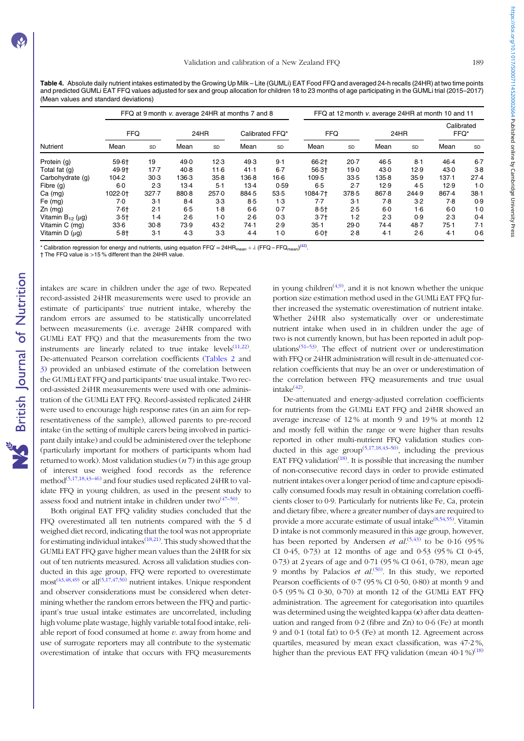https://doi.org/10.1017/S0007114520002664 Published online by Cambridge University Press https://doi.org/10.1017/S0007114520002664 Published online by Cambridge University Press

<span id="page-6-0"></span>Table 4. Absolute daily nutrient intakes estimated by the Growing Up Milk – Lite (GUMLi) EAT Food FFQ and averaged 24-h recalls (24HR) at two time points and predicted GUMLi EAT FFQ values adjusted for sex and group allocation for children 18 to 23 months of age participating in the GUMLi trial (2015–2017) (Mean values and standard deviations)

|                             |            |        |        |       | FFQ at 9 month v. average 24HR at months 7 and 8 |       | FFQ at 12 month v. average 24HR at month 10 and 11 |        |       |       |                    |           |
|-----------------------------|------------|--------|--------|-------|--------------------------------------------------|-------|----------------------------------------------------|--------|-------|-------|--------------------|-----------|
| <b>Nutrient</b>             | <b>FFQ</b> |        | 24HR   |       | Calibrated FFQ*                                  |       | <b>FFQ</b>                                         |        | 24HR  |       | Calibrated<br>FFQ* |           |
|                             | Mean       | SD     | Mean   | SD    | Mean                                             | SD    | Mean                                               | SD     | Mean  | SD    | Mean               | <b>SD</b> |
| Protein (g)                 | $59.6 +$   | 19     | 49.0   | 12.3  | 49.3                                             | 9.1   | 66.2†                                              | $20-7$ | 46.5  | $8-1$ | 46.4               | $6-7$     |
| Total fat (g)               | 49.9†      | $17-7$ | $40-8$ | 11.6  | 41.1                                             | $6-7$ | $56.3+$                                            | 19.0   | 43.0  | 12.9  | 43.0               | $3-8$     |
| Carbohydrate (g)            | 104.2      | 30.3   | 136.3  | 35.8  | 136.8                                            | 16.6  | 109.5                                              | 33.5   | 135.8 | 35.9  | 137.1              | 27.4      |
| Fibre (g)                   | 6.0        | 2.3    | $13-4$ | $5-1$ | 13.4                                             | 0.59  | 6.5                                                | 2.7    | 12.9  | 4.5   | 12.9               | $1-0$     |
| $Ca$ (mg)                   | 1022.0†    | 327.7  | 880.8  | 257.0 | 884-5                                            | 53.5  | 1084.71                                            | 378.5  | 867.8 | 244.9 | 867.4              | $38 - 1$  |
| Fe (mg)                     | 7.0        | 3.1    | $8-4$  | $3-3$ | $8-5$                                            | 1.3   | 7.7                                                | $3-1$  | 7.8   | $3-2$ | 7.8                | 0.9       |
| $Zn$ (mg)                   | $7.6+$     | 2.1    | $6-5$  | 1.8   | $6-6$                                            | 0.7   | $8.5+$                                             | 2.5    | 6.0   | 1.6   | 6.0                | $1-0$     |
| Vitamin $B_{12}$ ( $\mu$ g) | $3.5+$     | 1.4    | 2.6    | $1-0$ | 2.6                                              | 0.3   | $3.7+$                                             | 1.2    | 2.3   | 0.9   | 2.3                | 0.4       |
| Vitamin C (ma)              | 33.6       | 30.8   | 73.9   | 43.2  | 74.1                                             | 2.9   | $35-1$                                             | 29.0   | 74.4  | 48.7  | $75-1$             | 7.1       |
| Vitamin $D(\mu q)$          | 5.8†       | $3-1$  | 4.3    | $3-3$ | 4.4                                              | $1-0$ | $6 - 0$                                            | 2.8    | 4.1   | 2.6   | 4.1                | 0.6       |

\* Calibration regression for energy and nutrients, using equation FFQ' = 24HR<sub>mean</sub> +  $\lambda$  (FFQ – FFQ<sub>mean</sub>)<sup>[\(42](#page-9-0))</sup>.

† The FFQ value is >15 % different than the 24HR value.

intakes are scare in children under the age of two. Repeated record-assisted 24HR measurements were used to provide an estimate of participants' true nutrient intake, whereby the random errors are assumed to be statistically uncorrelated between measurements (i.e. average 24HR compared with GUMLi EAT FFQ) and that the measurements from the two instruments are linearly related to true intake  $levels^{(11,22)}$  $levels^{(11,22)}$  $levels^{(11,22)}$  $levels^{(11,22)}$ . De-attenuated Pearson correlation coefficients [\(Tables 2](#page-4-0) and [3](#page-5-0)) provided an unbiased estimate of the correlation between the GUMLi EAT FFQ and participants' true usual intake. Two record-assisted 24HR measurements were used with one administration of the GUMLi EAT FFQ. Record-assisted replicated 24HR were used to encourage high response rates (in an aim for representativeness of the sample), allowed parents to pre-record intake (in the setting of multiple carers being involved in participant daily intake) and could be administered over the telephone (particularly important for mothers of participants whom had returned to work). Most validation studies  $(n 7)$  in this age group of interest use weighed food records as the reference method<sup>[\(5](#page-8-0),[17](#page-8-0),[18](#page-8-0)[,43](#page-9-0)-[46](#page-9-0))</sup> and four studies used replicated 24HR to validate FFQ in young children, as used in the present study to assess food and nutrient intake in children under two $(47-50)$  $(47-50)$  $(47-50)$ .

Both original EAT FFQ validity studies concluded that the FFQ overestimated all ten nutrients compared with the 5 d weighed diet record, indicating that the tool was not appropriate for estimating individual intakes<sup>[\(18,](#page-8-0)[21\)](#page-9-0)</sup>. This study showed that the GUMLi EAT FFQ gave higher mean values than the 24HR for six out of ten nutrients measured. Across all validation studies conducted in this age group, FFQ were reported to overestimate  $most^{(43,48,49)}$  $most^{(43,48,49)}$  $most^{(43,48,49)}$  $most^{(43,48,49)}$  $most^{(43,48,49)}$  or all<sup>[\(5](#page-8-0),[17](#page-8-0),[47](#page-9-0),[50\)](#page-9-0)</sup> nutrient intakes. Unique respondent and observer considerations must be considered when determining whether the random errors between the FFQ and participant's true usual intake estimates are uncorrelated, including high volume plate wastage, highly variable total food intake, reliable report of food consumed at home  $\nu$ , away from home and use of surrogate reporters may all contribute to the systematic overestimation of intake that occurs with FFQ measurements

in young children<sup> $(4,9)$  $(4,9)$ </sup>, and it is not known whether the unique portion size estimation method used in the GUMLi EAT FFQ further increased the systematic overestimation of nutrient intake. Whether 24HR also systematically over or underestimate nutrient intake when used in in children under the age of two is not currently known, but has been reported in adult pop-ulations<sup>([51](#page-9-0)–[53\)](#page-9-0)</sup>. The effect of nutrient over or underestimation with FFQ or 24HR administration will result in de-attenuated correlation coefficients that may be an over or underestimation of the correlation between FFQ measurements and true usual  $intake<sup>(42)</sup>$  $intake<sup>(42)</sup>$  $intake<sup>(42)</sup>$ .

De-attenuated and energy-adjusted correlation coefficients for nutrients from the GUMLi EAT FFQ and 24HR showed an average increase of 12 % at month 9 and 19 % at month 12 and mostly fell within the range or were higher than results reported in other multi-nutrient FFQ validation studies conducted in this age group<sup> $(5,17,18,43-50)$  $(5,17,18,43-50)$  $(5,17,18,43-50)$  $(5,17,18,43-50)$  $(5,17,18,43-50)$  $(5,17,18,43-50)$  $(5,17,18,43-50)$  $(5,17,18,43-50)$  $(5,17,18,43-50)$  $(5,17,18,43-50)$ </sup>, including the previous EAT FFQ validation<sup> $(18)$  $(18)$ </sup>. It is possible that increasing the number of non-consecutive record days in order to provide estimated nutrient intakes over a longer period of time and capture episodically consumed foods may result in obtaining correlation coefficients closer to 0·9. Particularly for nutrients like Fe, Ca, protein and dietary fibre, where a greater number of days are required to provide a more accurate estimate of usual intake<sup>([8,](#page-8-0)[54,55\)](#page-9-0)</sup>. Vitamin D intake is not commonly measured in this age group, however, has been reported by Andersen *et al.*<sup>[\(5](#page-8-0),[43](#page-9-0))</sup> to be 0.16 (95%) CI 0·45, 0·73) at 12 months of age and 0·53 (95 % CI 0·45, 0·73) at 2 years of age and 0·71 (95 % CI 0·61, 0·78), mean age 9 months by Palacios *et al.*<sup>[\(50\)](#page-9-0)</sup>. In this study, we reported Pearson coefficients of 0·7 (95 % CI 0·50, 0·80) at month 9 and 0·5 (95 % CI 0·30, 0·70) at month 12 of the GUMLi EAT FFQ administration. The agreement for categorisation into quartiles was determined using the weighted kappa  $(\kappa)$  after data deattenuation and ranged from 0·2 (fibre and Zn) to 0·6 (Fe) at month 9 and 0·1 (total fat) to 0·5 (Fe) at month 12. Agreement across quartiles, measured by mean exact classification, was 47·2 %, higher than the previous EAT FFO validation (mean  $40.1\%$ )<sup>[\(18](#page-8-0))</sup>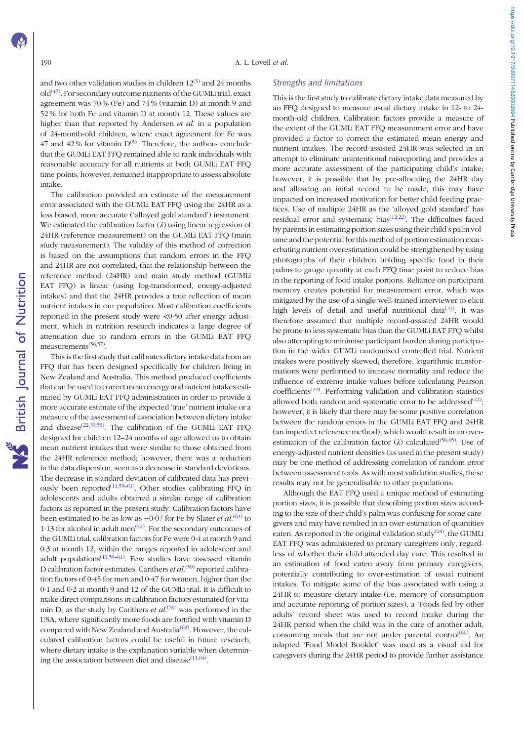and two other validation studies in children  $12^{(5)}$  $12^{(5)}$  $12^{(5)}$  and 24 months old<sup>[\(43](#page-9-0))</sup>. For secondary outcome nutrients of the GUMLi trial, exact agreement was 70 % (Fe) and 74 % (vitamin D) at month 9 and 52 % for both Fe and vitamin D at month 12. These values are higher than that reported by Andersen *et al.* in a population of 24-month-old children, where exact agreement for Fe was 47 and 42% for vitamin  $D^{(5)}$  $D^{(5)}$  $D^{(5)}$ . Therefore, the authors conclude that the GUMLi EAT FFQ remained able to rank individuals with reasonable accuracy for all nutrients at both GUMLi EAT FFQ time points, however, remained inappropriate to assess absolute intake.

The calibration provided an estimate of the measurement error associated with the GUMLi EAT FFQ using the 24HR as a less biased, more accurate ('alloyed gold standard') instrument. We estimated the calibration factor  $(\lambda)$  using linear regression of 24HR (reference measurement) on the GUMLi EAT FFQ (main study measurement). The validity of this method of correction is based on the assumptions that random errors in the FFQ and 24HR are not correlated, that the relationship between the reference method (24HR) and main study method (GUMLi EAT FFQ) is linear (using log-transformed, energy-adjusted intakes) and that the 24HR provides a true reflection of mean nutrient intakes in our population. Most calibration coefficients reported in the present study were <0·50 after energy adjustment, which in nutrition research indicates a large degree of attenuation due to random errors in the GUMLi EAT FFQ measurements<sup>([56](#page-9-0),[57\)](#page-10-0)</sup>.

This is the first study that calibrates dietary intake data from an FFQ that has been designed specifically for children living in New Zealand and Australia. This method produced coefficients that can be used to correct mean energy and nutrient intakes estimated by GUMLi EAT FFQ administration in order to provide a more accurate estimate of the expected 'true' nutrient intake or a measure of the assessment of association between dietary intake and disease<sup>[\(22,39,](#page-9-0)[58](#page-10-0))</sup>. The calibration of the GUMLi EAT FFQ designed for children 12–24 months of age allowed us to obtain mean nutrient intakes that were similar to those obtained from the 24HR reference method; however, there was a reduction in the data dispersion, seen as a decrease in standard deviations. The decrease in standard deviation of calibrated data has previously been reported $(11,59-61)$  $(11,59-61)$  $(11,59-61)$  $(11,59-61)$ . Other studies calibrating FFQ in adolescents and adults obtained a similar range of calibration factors as reported in the present study. Calibration factors have been estimated to be as low as  $-0.07$  for Fe by Slater *et al*.<sup>[\(62](#page-10-0))</sup> to 1.13 for alcohol in adult men<sup> $(42)$  $(42)$  $(42)$ </sup>. For the secondary outcomes of the GUMLi trial, calibration factors for Fe were 0·4 at month 9 and 0·3 at month 12, within the ranges reported in adolescent and adult populations<sup>([11](#page-8-0),[59](#page-10-0)-[61](#page-10-0))</sup>. Few studies have assessed vitamin D calibration factor estimates. Carithers et al.<sup>([59](#page-10-0))</sup> reported calibration factors of 0·45 for men and 0·47 for women, higher than the 0·1 and 0·2 at month 9 and 12 of the GUMLi trial. It is difficult to make direct comparisons in calibration factors estimated for vitamin D, as the study by Carithers *et al*.<sup>[\(59](#page-10-0))</sup> was performed in the USA, where significantly more foods are fortified with vitamin D compared with New Zealand and Australia<sup>([63\)](#page-10-0)</sup>. However, the calculated calibration factors could be useful in future research, where dietary intake is the explanation variable when determining the association between diet and disease $(11,64)$  $(11,64)$  $(11,64)$ .

#### Strengths and limitations

This is the first study to calibrate dietary intake data measured by an FFQ designed to measure usual dietary intake in 12- to 24 month-old children. Calibration factors provide a measure of the extent of the GUMLi EAT FFQ measurement error and have provided a factor to correct the estimated mean energy and nutrient intakes. The record-assisted 24HR was selected in an attempt to eliminate unintentional misreporting and provides a more accurate assessment of the participating child's intake; however, it is possible that by pre-allocating the 24HR day and allowing an initial record to be made, this may have impacted on increased motivation for better child feeding practices. Use of multiple 24HR as the 'alloyed gold standard' has residual error and systematic bias $(12,22)$  $(12,22)$  $(12,22)$  $(12,22)$  $(12,22)$ . The difficulties faced by parents in estimating portion sizes using their child's palm volume and the potential for this method of portion estimation exacerbating nutrient overestimation could be strengthened by using photographs of their children holding specific food in their palms to gauge quantity at each FFQ time point to reduce bias in the reporting of food intake portions. Reliance on participant memory creates potential for measurement error, which was mitigated by the use of a single well-trained interviewer to elicit high levels of detail and useful nutritional data $(22)$  $(22)$ . It was therefore assumed that multiple record-assisted 24HR would be prone to less systematic bias than the GUMLi EAT FFQ whilst also attempting to minimise participant burden during participation in the wider GUMLi randomised controlled trial. Nutrient intakes were positively skewed; therefore, logarithmic transformations were performed to increase normality and reduce the influence of extreme intake values before calculating Pearson coefficients<sup>[\(22](#page-9-0))</sup>. Performing validation and calibration statistics allowed both random and systematic error to be addressed $^{(22)}$  $^{(22)}$  $^{(22)}$ ; however, it is likely that there may be some positive correlation between the random errors in the GUMLi EAT FFQ and 24HR (an imperfect reference method), which would result in an overestimation of the calibration factor ( $\lambda$ ) calculated<sup>([56](#page-9-0),[65](#page-10-0))</sup>. Use of energy-adjusted nutrient densities (as used in the present study) may be one method of addressing correlation of random error between assessment tools. As with most validation studies, these results may not be generalisable to other populations.

Although the EAT FFQ used a unique method of estimating portion sizes, it is possible that describing portion sizes according to the size of their child's palm was confusing for some caregivers and may have resulted in an over-estimation of quantities eaten. As reported in the original validation study $(18)$ , the GUMLi EAT FFQ was administered to primary caregivers only, regardless of whether their child attended day care. This resulted in an estimation of food eaten away from primary caregivers, potentially contributing to over-estimation of usual nutrient intakes. To mitigate some of the bias associated with using a 24HR to measure dietary intake (i.e. memory of consumption and accurate reporting of portion sizes), a 'Foods fed by other adults' record sheet was used to record intake during the 24HR period when the child was in the care of another adult, consuming meals that are not under parental control $(66)$  $(66)$  $(66)$ . An adapted 'Food Model Booklet' was used as a visual aid for caregivers during the 24HR period to provide further assistance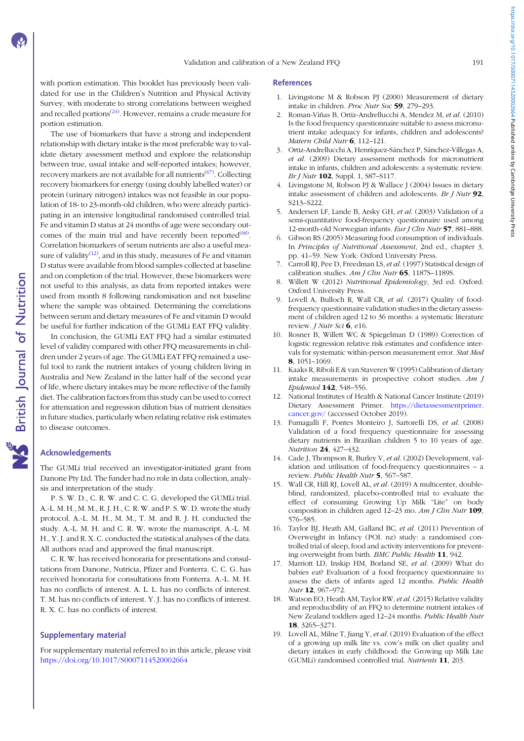<span id="page-8-0"></span>with portion estimation. This booklet has previously been validated for use in the Children's Nutrition and Physical Activity Survey, with moderate to strong correlations between weighed and recalled portions $(24)$ . However, remains a crude measure for portion estimation.

The use of biomarkers that have a strong and independent relationship with dietary intake is the most preferable way to validate dietary assessment method and explore the relationship between true, usual intake and self-reported intakes; however, recovery markers are not available for all nutrients<sup>([67](#page-10-0))</sup>. Collecting recovery biomarkers for energy (using doubly labelled water) or protein (urinary nitrogen) intakes was not feasible in our population of 18- to 23-month-old children, who were already participating in an intensive longitudinal randomised controlled trial. Fe and vitamin D status at 24 months of age were secondary out-comes of the main trial and have recently been reported<sup>([68\)](#page-10-0)</sup>. Correlation biomarkers of serum nutrients are also a useful measure of validity $(12)$ , and in this study, measures of Fe and vitamin D status were available from blood samples collected at baseline and on completion of the trial. However, these biomarkers were not useful to this analysis, as data from reported intakes were used from month 8 following randomisation and not baseline where the sample was obtained. Determining the correlations between serum and dietary measures of Fe and vitamin D would be useful for further indication of the GUMLi EAT FFQ validity.

In conclusion, the GUMLi EAT FFQ had a similar estimated level of validity compared with other FFQ measurements in children under 2 years of age. The GUMLi EAT FFQ remained a useful tool to rank the nutrient intakes of young children living in Australia and New Zealand in the latter half of the second year of life, where dietary intakes may be more reflective of the family diet. The calibration factors from this study can be used to correct for attenuation and regression dilution bias of nutrient densities in future studies, particularly when relating relative risk estimates to disease outcomes.

#### Acknowledgements

The GUMLi trial received an investigator-initiated grant from Danone Pty Ltd. The funder had no role in data collection, analysis and interpretation of the study.

P. S. W. D., C. R. W. and C. C. G. developed the GUMLi trial. A.-L. M. H., M. M., R. J. H., C. R. W. and P. S. W. D. wrote the study protocol. A.-L. M. H., M. M., T. M. and R. J. H. conducted the study. A.-L. M. H. and C. R. W. wrote the manuscript. A.-L. M. H., Y. J. and R. X. C. conducted the statistical analyses of the data. All authors read and approved the final manuscript.

C. R. W. has received honoraria for presentations and consultations from Danone, Nutricia, Pfizer and Fonterra. C. C. G. has received honoraria for consultations from Fonterra. A.-L. M. H. has no conflicts of interest. A. L. L. has no conflicts of interest. T. M. has no conflicts of interest. Y. J. has no conflicts of interest. R. X. C. has no conflicts of interest.

#### Supplementary material

For supplementary material referred to in this article, please visit <https://doi.org/10.1017/S0007114520002664>

#### References

- 1. Livingstone M & Robson PJ (2000) Measurement of dietary intake in children. Proc Nutr Soc 59, 279–293.
- 2. Roman-Viñas B, Ortiz-Andrellucchi A, Mendez M, et al. (2010) Is the food frequency questionnaire suitable to assess micronutrient intake adequacy for infants, children and adolescents? Matern Child Nutr 6, 112-121.
- 3. Ortiz-Andrellucchi A, Henríquez-Sánchez P, Sánchez-Villegas A, et al. (2009) Dietary assessment methods for micronutrient intake in infants, children and adolescents: a systematic review. Br J Nutr 102, Suppl. 1, S87-S117.
- 4. Livingstone M, Robson PJ & Wallace J (2004) Issues in dietary intake assessment of children and adolescents. Br J Nutr  $92$ , S213–S222.
- 5. Andersen LF, Lande B, Arsky GH, et al. (2003) Validation of a semi-quantitative food-frequency questionnaire used among 12-month-old Norwegian infants. Eur J Clin Nutr 57, 881–888.
- 6. Gibson RS (2005) Measuring food consumption of individuals. In Principles of Nutritional Assessment, 2nd ed., chapter 3, pp. 41–59. New York: Oxford University Press.
- Carroll RJ, Pee D, Freedman LS, et al. (1997) Statistical design of calibration studies. Am J Clin Nutr  $65$ , 1187S-1189S.
- 8. Willett W (2012) Nutritional Epidemiology, 3rd ed. Oxford: Oxford University Press.
- 9. Lovell A, Bulloch R, Wall CR, et al. (2017) Quality of foodfrequency questionnaire validation studies in the dietary assessment of children aged 12 to 36 months: a systematic literature review. *J Nutr Sci* 6, e16.
- 10. Rosner B, Willett WC & Spiegelman D (1989) Correction of logistic regression relative risk estimates and confidence intervals for systematic within-person measurement error. Stat Med 8, 1051–1069.
- 11. Kaaks R, Riboli E & van Staveren W (1995) Calibration of dietary intake measurements in prospective cohort studies. Am J Epidemiol 142, 548–556.
- 12. National Institutes of Health & National Cancer Institute (2019) Dietary Assessment Primer. [https://dietassessmentprimer.](https://dietassessmentprimer.cancer.gov/) [cancer.gov/](https://dietassessmentprimer.cancer.gov/) (accessed October 2019).
- 13. Fumagalli F, Pontes Monteiro J, Sartorelli DS, et al. (2008) Validation of a food frequency questionnaire for assessing dietary nutrients in Brazilian children 5 to 10 years of age. Nutrition 24, 427–432.
- 14. Cade J, Thompson R, Burley V, et al. (2002) Development, validation and utilisation of food-frequency questionnaires – a review. Public Health Nutr 5, 567-587.
- 15. Wall CR, Hill RJ, Lovell AL, et al. (2019) A multicenter, doubleblind, randomized, placebo-controlled trial to evaluate the effect of consuming Growing Up Milk "Lite" on body composition in children aged 12–23 mo. Am J Clin Nutr 109, 576–585.
- 16. Taylor BJ, Heath AM, Galland BC, et al. (2011) Prevention of Overweight in Infancy (POI. nz) study: a randomised controlled trial of sleep, food and activity interventions for preventing overweight from birth. BMC Public Health 11, 942.
- 17. Marriott LD, Inskip HM, Borland SE, et al. (2009) What do babies eat? Evaluation of a food frequency questionnaire to assess the diets of infants aged 12 months. Public Health Nutr 12, 967–972.
- 18. Watson EO, Heath AM, Taylor RW, et al. (2015) Relative validity and reproducibility of an FFQ to determine nutrient intakes of New Zealand toddlers aged 12–24 months. Public Health Nutr 18, 3265–3271.
- 19. Lovell AL, Milne T, Jiang Y, et al. (2019) Evaluation of the effect of a growing up milk lite vs. cow's milk on diet quality and dietary intakes in early childhood: the Growing up Milk Lite (GUMLi) randomised controlled trial. Nutrients 11, 203.

https://doi.org/10.1017/50007114520002664 Published online by Cambridge University Press https://doi.org/10.1017/S0007114520002664 Published online by Cambridge University Press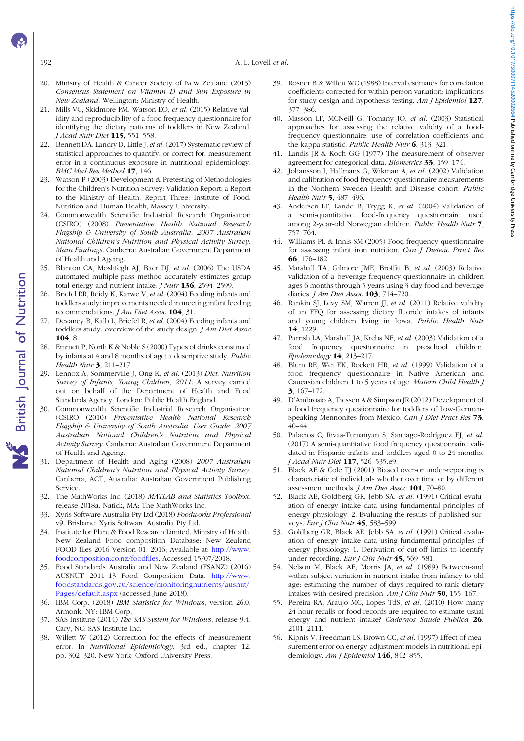192 A. L. Lovell et al.

- 20. Ministry of Health & Cancer Society of New Zealand (2013) Consensus Statement on Vitamin D and Sun Exposure in New Zealand. Wellington: Ministry of Health.
- 21. Mills VC, Skidmore PM, Watson EO, et al. (2015) Relative validity and reproducibility of a food frequency questionnaire for identifying the dietary patterns of toddlers in New Zealand. J Acad Nutr Diet 115, 551–558.
- 22. Bennett DA, Landry D, Little J, et al. (2017) Systematic review of statistical approaches to quantify, or correct for, measurement error in a continuous exposure in nutritional epidemiology. BMC Med Res Method 17, 146.
- 23. Watson P (2003) Development & Pretesting of Methodologies for the Children's Nutrition Survey: Validation Report: a Report to the Ministry of Health. Report Three: Institute of Food, Nutrition and Human Health, Massey University.
- 24. Commonwealth Scientific Industrial Research Organisation (CSIRO) (2008) Preventative Health National Research Flagship & University of South Australia. 2007 Australian National Children's Nutrition and Physical Activity Survey: Main Findings. Canberra: Australian Government Department of Health and Ageing.
- 25. Blanton CA, Moshfegh AJ, Baer DJ, et al. (2006) The USDA automated multiple-pass method accurately estimates group total energy and nutrient intake. *J Nutr* 136, 2594-2599.
- 26. Briefel RR, Reidy K, Karwe V, et al. (2004) Feeding infants and toddlers study: improvements needed in meeting infant feeding recommendations. *J Am Diet Assoc* 104, 31.
- 27. Devaney B, Kalb L, Briefel R, et al. (2004) Feeding infants and toddlers study: overview of the study design. J Am Diet Assoc 104, 8.
- 28. Emmett P, North K & Noble S (2000) Types of drinks consumed by infants at 4 and 8 months of age: a descriptive study. Public Health Nutr 3, 211-217.
- 29. Lennox A, Sommerville J, Ong K, et al. (2013) Diet, Nutrition Survey of Infants, Young Children, 2011. A survey carried out on behalf of the Department of Health and Food Standards Agency. London: Public Health England.
- 30. Commonwealth Scientific Industrial Research Organisation (CSIRO (2010) Preventative Health National Research Flagship & University of South Australia. User Guide: 2007 Australian National Children's Nutrition and Physical Activity Survey. Canberra: Australian Government Department of Health and Ageing.
- 31. Department of Health and Aging (2008) 2007 Australian National Children's Nutrition and Physical Activity Survey. Canberra, ACT, Australia: Australian Government Publishing Service.
- 32. The MathWorks Inc. (2018) MATLAB and Statistics Toolbox, release 2018a. Natick, MA: The MathWorks Inc.
- 33. Xyris Software Australia Pty Ltd (2018) Foodworks Professional v9. Brisbane: Xyris Software Australia Pty Ltd.
- 34. Institute for Plant & Food Research Limited, Ministry of Health. New Zealand Food composition Database: New Zealand FOOD files 2016 Version 01. 2016; Available at: [http://www.](http://www.foodcomposition.co.nz/foodfiles) [foodcomposition.co.nz/foodfiles.](http://www.foodcomposition.co.nz/foodfiles) Accessed 15/07/2018.
- 35. Food Standards Australia and New Zealand (FSANZ) (2016) AUSNUT 2011–13 Food Composition Data. [http://www.](http://www.foodstandards.gov.au/science/monitoringnutrients/ausnut/Pages/default.aspx) [foodstandards.gov.au/science/monitoringnutrients/ausnut/](http://www.foodstandards.gov.au/science/monitoringnutrients/ausnut/Pages/default.aspx) [Pages/default.aspx](http://www.foodstandards.gov.au/science/monitoringnutrients/ausnut/Pages/default.aspx) (accessed June 2018).
- 36. IBM Corp. (2018) IBM Statistics for Windows, version 26.0. Armonk, NY: IBM Corp.
- 37. SAS Institute (2014) The SAS System for Windows, release 9.4. Cary, NC: SAS Institute Inc.
- 38. Willett W (2012) Correction for the effects of measurement error. In Nutritional Epidemiology, 3rd ed., chapter 12, pp. 302–320. New York: Oxford University Press.
- 39. Rosner B & Willett WC (1988) Interval estimates for correlation coefficients corrected for within-person variation: implications for study design and hypothesis testing. Am J Epidemiol 127, 377–386.
- 40. Masson LF, MCNeill G, Tomany JO, et al. (2003) Statistical approaches for assessing the relative validity of a foodfrequency questionnaire: use of correlation coefficients and the kappa statistic. Public Health Nutr  $6$ , 313–321.
- 41. Landis JR & Koch GG (1977) The measurement of observer agreement for categorical data. Biometrics 33, 159-174.
- 42. Johansson I, Hallmans G, Wikman Å, et al. (2002) Validation and calibration of food-frequency questionnaire measurements in the Northern Sweden Health and Disease cohort. Public Health Nutr 5, 487-496.
- 43. Andersen LF, Lande B, Trygg K, et al. (2004) Validation of a semi-quantitative food-frequency questionnaire used among 2-year-old Norwegian children. Public Health Nutr 7, 757–764.
- 44. Williams PL & Innis SM (2005) Food frequency questionnaire for assessing infant iron nutrition. Can J Dietetic Pract Res 66, 176–182.
- 45. Marshall TA, Gilmore JME, Broffitt B, et al. (2003) Relative validation of a beverage frequency questionnaire in children ages 6 months through 5 years using 3-day food and beverage diaries. *J Am Diet Assoc* **103**, 714–720.
- 46. Rankin SJ, Levy SM, Warren JJ, et al. (2011) Relative validity of an FFQ for assessing dietary fluoride intakes of infants and young children living in Iowa. Public Health Nutr 14, 1229.
- 47. Parrish LA, Marshall JA, Krebs NF, et al. (2003) Validation of a food frequency questionnaire in preschool children. Epidemiology 14, 213–217.
- 48. Blum RE, Wei EK, Rockett HR, et al. (1999) Validation of a food frequency questionnaire in Native American and Caucasian children 1 to 5 years of age. Matern Child Health J 3, 167–172.
- 49. D'Ambrosio A, Tiessen A & Simpson JR (2012) Development of a food frequency questionnaire for toddlers of Low-German-Speaking Mennonites from Mexico. Can J Diet Pract Res 73, 40–44.
- 50. Palacios C, Rivas-Tumanyan S, Santiago-Rodríguez EJ, et al. (2017) A semi-quantitative food frequency questionnaire validated in Hispanic infants and toddlers aged 0 to 24 months. J Acad Nutr Diet 117, 526-535.e9.
- 51. Black AE & Cole TJ (2001) Biased over-or under-reporting is characteristic of individuals whether over time or by different assessment methods. J Am Diet Assoc 101, 70–80.
- 52. Black AE, Goldberg GR, Jebb SA, et al. (1991) Critical evaluation of energy intake data using fundamental principles of energy physiology: 2. Evaluating the results of published surveys. Eur J Clin Nutr 45, 583-599.
- 53. Goldberg GR, Black AE, Jebb SA, et al. (1991) Critical evaluation of energy intake data using fundamental principles of energy physiology: 1. Derivation of cut-off limits to identify under-recording. Eur J Clin Nutr 45, 569-581.
- 54. Nelson M, Black AE, Morris JA, et al. (1989) Between-and within-subject variation in nutrient intake from infancy to old age: estimating the number of days required to rank dietary intakes with desired precision. Am J Clin Nutr 50, 155–167.
- 55. Pereira RA, Araujo MC, Lopes TdS, et al. (2010) How many 24-hour recalls or food records are required to estimate usual energy and nutrient intake? Cadernos Saude Publica 26, 2101–2111.
- 56. Kipnis V, Freedman LS, Brown CC, et al. (1997) Effect of measurement error on energy-adjustment models in nutritional epidemiology. Am J Epidemiol 146, 842-855.

<span id="page-9-0"></span>

British Journal of Nutrition